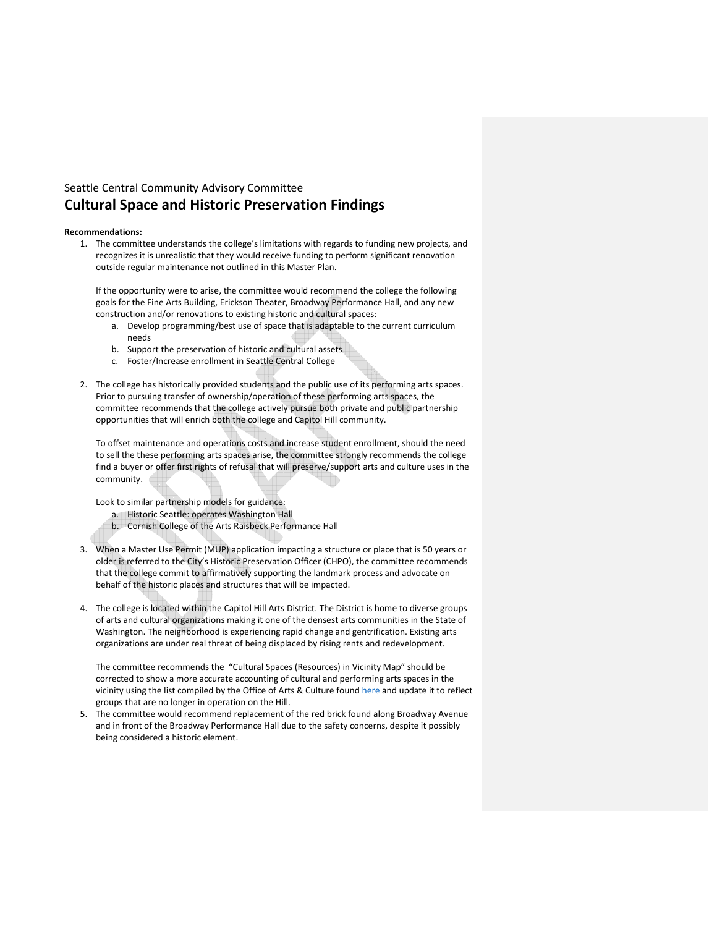# Seattle Central Community Advisory Committee Cultural Space and Historic Preservation Findings

# Recommendations:

1. The committee understands the college's limitations with regards to funding new projects, and recognizes it is unrealistic that they would receive funding to perform significant renovation outside regular maintenance not outlined in this Master Plan.

If the opportunity were to arise, the committee would recommend the college the following goals for the Fine Arts Building, Erickson Theater, Broadway Performance Hall, and any new construction and/or renovations to existing historic and cultural spaces:

- a. Develop programming/best use of space that is adaptable to the current curriculum needs
- b. Support the preservation of historic and cultural assets
- c. Foster/Increase enrollment in Seattle Central College
- 2. The college has historically provided students and the public use of its performing arts spaces. Prior to pursuing transfer of ownership/operation of these performing arts spaces, the committee recommends that the college actively pursue both private and public partnership opportunities that will enrich both the college and Capitol Hill community.

To offset maintenance and operations costs and increase student enrollment, should the need to sell the these performing arts spaces arise, the committee strongly recommends the college find a buyer or offer first rights of refusal that will preserve/support arts and culture uses in the community.

Look to similar partnership models for guidance:

- a. Historic Seattle: operates Washington Hall
- b. Cornish College of the Arts Raisbeck Performance Hall
- 3. When a Master Use Permit (MUP) application impacting a structure or place that is 50 years or older is referred to the City's Historic Preservation Officer (CHPO), the committee recommends that the college commit to affirmatively supporting the landmark process and advocate on behalf of the historic places and structures that will be impacted.
- 4. The college is located within the Capitol Hill Arts District. The District is home to diverse groups of arts and cultural organizations making it one of the densest arts communities in the State of Washington. The neighborhood is experiencing rapid change and gentrification. Existing arts organizations are under real threat of being displaced by rising rents and redevelopment.

The committee recommends the "Cultural Spaces (Resources) in Vicinity Map" should be corrected to show a more accurate accounting of cultural and performing arts spaces in the vicinity using the list compiled by the Office of Arts & Culture found here and update it to reflect groups that are no longer in operation on the Hill.

5. The committee would recommend replacement of the red brick found along Broadway Avenue and in front of the Broadway Performance Hall due to the safety concerns, despite it possibly being considered a historic element.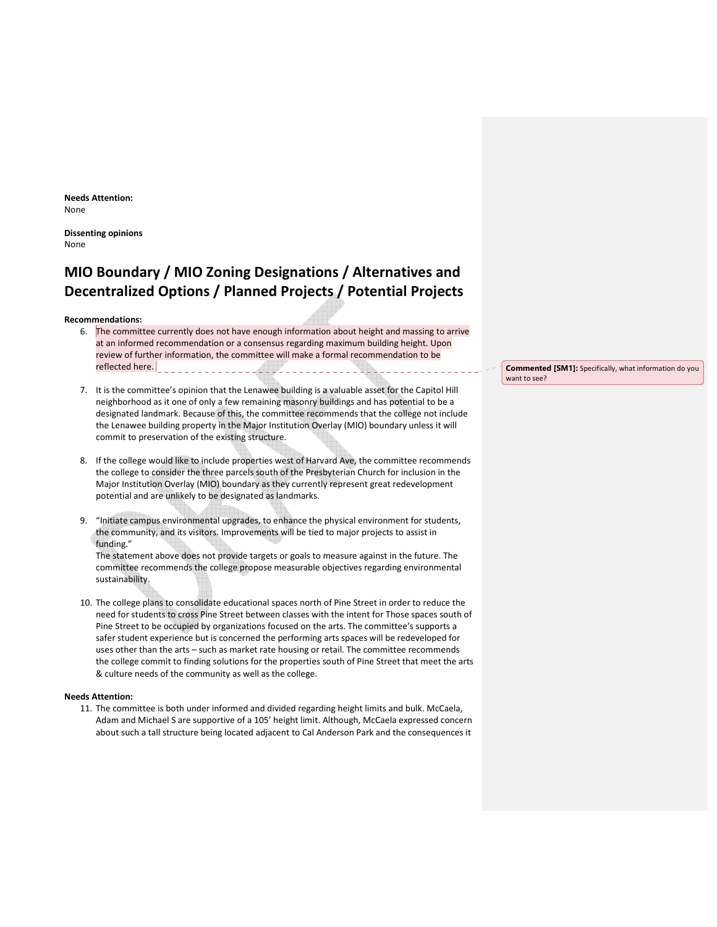Needs Attention: None

Dissenting opinions None

# MIO Boundary / MIO Zoning Designations / Alternatives and Decentralized Options / Planned Projects / Potential Projects

Recommendations:

- 6. The committee currently does not have enough information about height and massing to arrive at an informed recommendation or a consensus regarding maximum building height. Upon review of further information, the committee will make a formal recommendation to be reflected here.
- 7. It is the committee's opinion that the Lenawee building is a valuable asset for the Capitol Hill neighborhood as it one of only a few remaining masonry buildings and has potential to be a designated landmark. Because of this, the committee recommends that the college not include the Lenawee building property in the Major Institution Overlay (MIO) boundary unless it will commit to preservation of the existing structure.
- 8. If the college would like to include properties west of Harvard Ave, the committee recommends the college to consider the three parcels south of the Presbyterian Church for inclusion in the Major Institution Overlay (MIO) boundary as they currently represent great redevelopment potential and are unlikely to be designated as landmarks.
- 9. "Initiate campus environmental upgrades, to enhance the physical environment for students, the community, and its visitors. Improvements will be tied to major projects to assist in funding."

The statement above does not provide targets or goals to measure against in the future. The committee recommends the college propose measurable objectives regarding environmental sustainability.

10. The college plans to consolidate educational spaces north of Pine Street in order to reduce the need for students to cross Pine Street between classes with the intent for Those spaces south of Pine Street to be occupied by organizations focused on the arts. The committee's supports a safer student experience but is concerned the performing arts spaces will be redeveloped for uses other than the arts – such as market rate housing or retail. The committee recommends the college commit to finding solutions for the properties south of Pine Street that meet the arts & culture needs of the community as well as the college.

### Needs Attention:

11. The committee is both under informed and divided regarding height limits and bulk. McCaela, Adam and Michael S are supportive of a 105' height limit. Although, McCaela expressed concern about such a tall structure being located adjacent to Cal Anderson Park and the consequences it

Commented [SM1]: Specifically, what information do you want to see?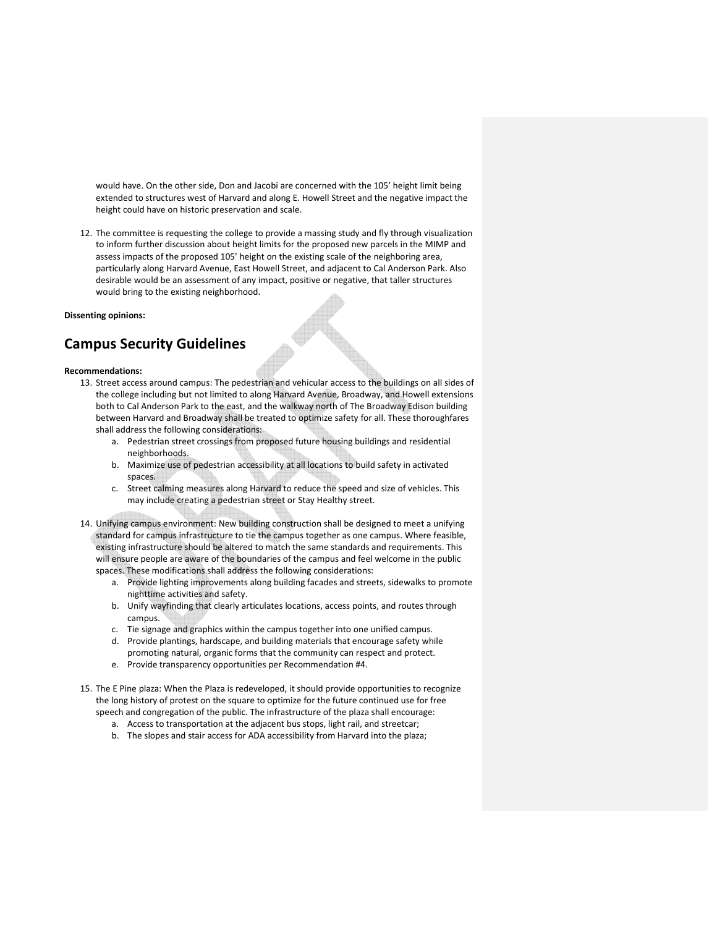would have. On the other side, Don and Jacobi are concerned with the 105' height limit being extended to structures west of Harvard and along E. Howell Street and the negative impact the height could have on historic preservation and scale.

12. The committee is requesting the college to provide a massing study and fly through visualization to inform further discussion about height limits for the proposed new parcels in the MIMP and assess impacts of the proposed 105' height on the existing scale of the neighboring area, particularly along Harvard Avenue, East Howell Street, and adjacent to Cal Anderson Park. Also desirable would be an assessment of any impact, positive or negative, that taller structures would bring to the existing neighborhood.

### Dissenting opinions:

# Campus Security Guidelines

#### Recommendations:

- 13. Street access around campus: The pedestrian and vehicular access to the buildings on all sides of the college including but not limited to along Harvard Avenue, Broadway, and Howell extensions both to Cal Anderson Park to the east, and the walkway north of The Broadway Edison building between Harvard and Broadway shall be treated to optimize safety for all. These thoroughfares shall address the following considerations:
	- a. Pedestrian street crossings from proposed future housing buildings and residential neighborhoods.
	- b. Maximize use of pedestrian accessibility at all locations to build safety in activated spaces.
	- c. Street calming measures along Harvard to reduce the speed and size of vehicles. This may include creating a pedestrian street or Stay Healthy street.
- 14. Unifying campus environment: New building construction shall be designed to meet a unifying standard for campus infrastructure to tie the campus together as one campus. Where feasible, existing infrastructure should be altered to match the same standards and requirements. This will ensure people are aware of the boundaries of the campus and feel welcome in the public spaces. These modifications shall address the following considerations:
	- a. Provide lighting improvements along building facades and streets, sidewalks to promote nighttime activities and safety.
	- b. Unify wayfinding that clearly articulates locations, access points, and routes through campus.
	- c. Tie signage and graphics within the campus together into one unified campus.
	- d. Provide plantings, hardscape, and building materials that encourage safety while promoting natural, organic forms that the community can respect and protect.
	- e. Provide transparency opportunities per Recommendation #4.
- 15. The E Pine plaza: When the Plaza is redeveloped, it should provide opportunities to recognize the long history of protest on the square to optimize for the future continued use for free speech and congregation of the public. The infrastructure of the plaza shall encourage:
	- a. Access to transportation at the adjacent bus stops, light rail, and streetcar;
	- b. The slopes and stair access for ADA accessibility from Harvard into the plaza;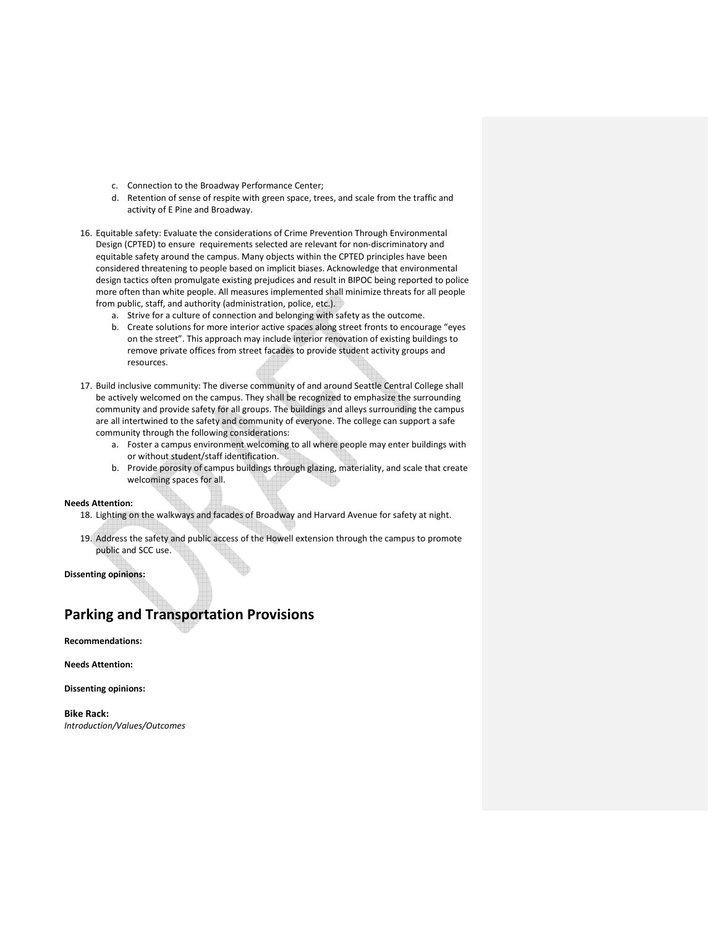- c. Connection to the Broadway Performance Center;
- d. Retention of sense of respite with green space, trees, and scale from the traffic and activity of E Pine and Broadway.
- 16. Equitable safety: Evaluate the considerations of Crime Prevention Through Environmental Design (CPTED) to ensure requirements selected are relevant for non-discriminatory and equitable safety around the campus. Many objects within the CPTED principles have been considered threatening to people based on implicit biases. Acknowledge that environmental design tactics often promulgate existing prejudices and result in BIPOC being reported to police more often than white people. All measures implemented shall minimize threats for all people from public, staff, and authority (administration, police, etc.).
	- a. Strive for a culture of connection and belonging with safety as the outcome.
	- b. Create solutions for more interior active spaces along street fronts to encourage "eyes on the street". This approach may include interior renovation of existing buildings to remove private offices from street facades to provide student activity groups and resources.
- 17. Build inclusive community: The diverse community of and around Seattle Central College shall be actively welcomed on the campus. They shall be recognized to emphasize the surrounding community and provide safety for all groups. The buildings and alleys surrounding the campus are all intertwined to the safety and community of everyone. The college can support a safe community through the following considerations:
	- a. Foster a campus environment welcoming to all where people may enter buildings with or without student/staff identification.
	- b. Provide porosity of campus buildings through glazing, materiality, and scale that create welcoming spaces for all.

# Needs Attention:

- 18. Lighting on the walkways and facades of Broadway and Harvard Avenue for safety at night.
- 19. Address the safety and public access of the Howell extension through the campus to promote public and SCC use.

Dissenting opinions:

# Parking and Transportation Provisions

Recommendations:

Needs Attention:

Dissenting opinions:

Bike Rack: Introduction/Values/Outcomes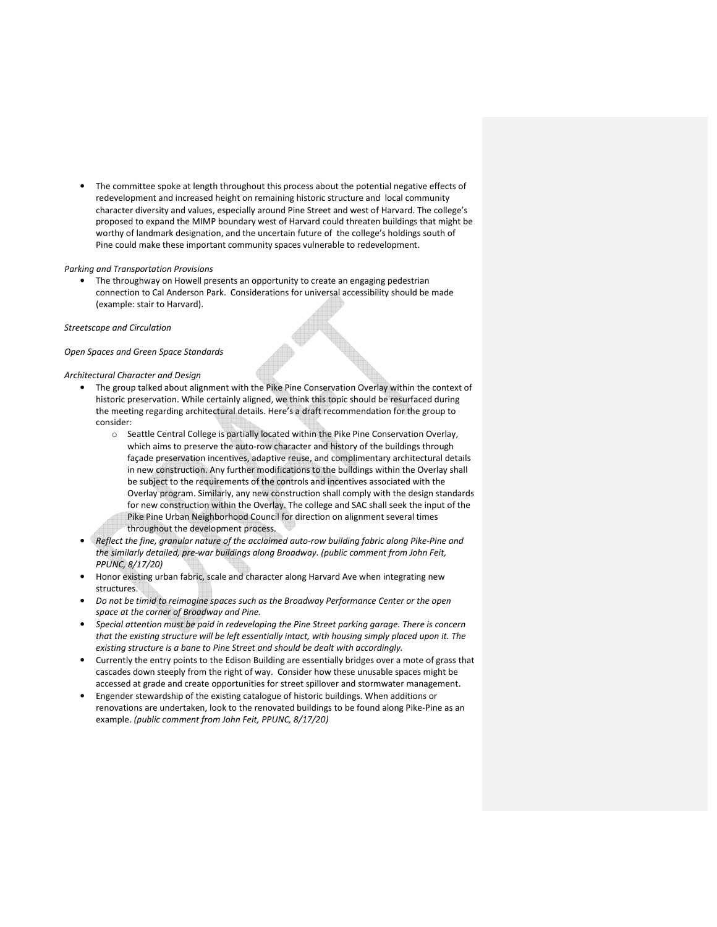• The committee spoke at length throughout this process about the potential negative effects of redevelopment and increased height on remaining historic structure and local community character diversity and values, especially around Pine Street and west of Harvard. The college's proposed to expand the MIMP boundary west of Harvard could threaten buildings that might be worthy of landmark designation, and the uncertain future of the college's holdings south of Pine could make these important community spaces vulnerable to redevelopment.

### Parking and Transportation Provisions

• The throughway on Howell presents an opportunity to create an engaging pedestrian connection to Cal Anderson Park. Considerations for universal accessibility should be made (example: stair to Harvard).

### Streetscape and Circulation

## Open Spaces and Green Space Standards

#### Architectural Character and Design

- The group talked about alignment with the Pike Pine Conservation Overlay within the context of historic preservation. While certainly aligned, we think this topic should be resurfaced during the meeting regarding architectural details. Here's a draft recommendation for the group to consider:
	- o Seattle Central College is partially located within the Pike Pine Conservation Overlay, which aims to preserve the auto-row character and history of the buildings through façade preservation incentives, adaptive reuse, and complimentary architectural details in new construction. Any further modifications to the buildings within the Overlay shall be subject to the requirements of the controls and incentives associated with the Overlay program. Similarly, any new construction shall comply with the design standards for new construction within the Overlay. The college and SAC shall seek the input of the Pike Pine Urban Neighborhood Council for direction on alignment several times throughout the development process.
- Reflect the fine, granular nature of the acclaimed auto-row building fabric along Pike-Pine and the similarly detailed, pre-war buildings along Broadway. (public comment from John Feit, PPUNC, 8/17/20)
- Honor existing urban fabric, scale and character along Harvard Ave when integrating new structures.
- Do not be timid to reimagine spaces such as the Broadway Performance Center or the open space at the corner of Broadway and Pine.
- Special attention must be paid in redeveloping the Pine Street parking garage. There is concern that the existing structure will be left essentially intact, with housing simply placed upon it. The existing structure is a bane to Pine Street and should be dealt with accordingly.
- Currently the entry points to the Edison Building are essentially bridges over a mote of grass that cascades down steeply from the right of way. Consider how these unusable spaces might be accessed at grade and create opportunities for street spillover and stormwater management.
- Engender stewardship of the existing catalogue of historic buildings. When additions or renovations are undertaken, look to the renovated buildings to be found along Pike-Pine as an example. (public comment from John Feit, PPUNC, 8/17/20)